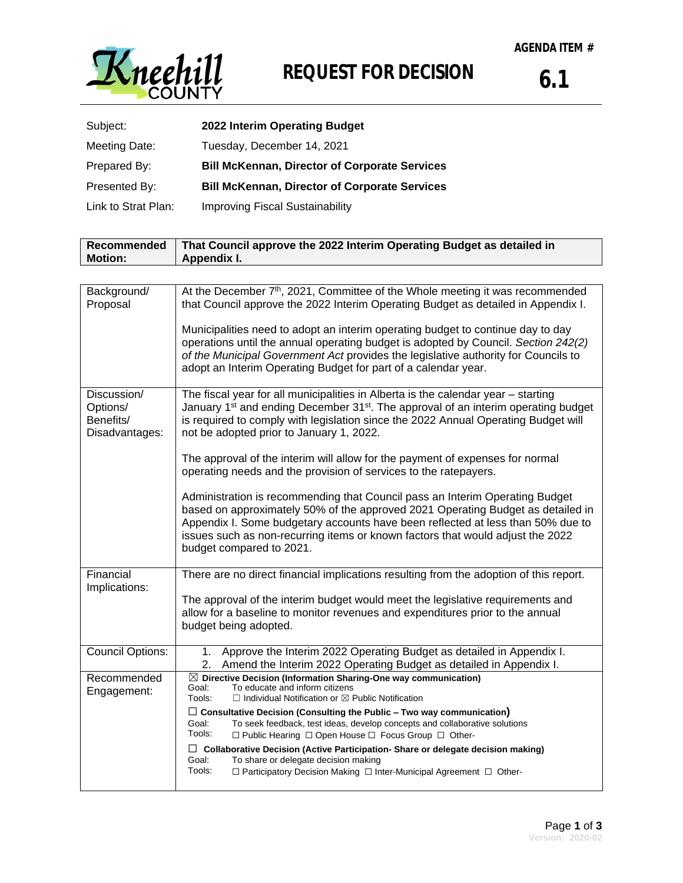

## **REQUEST FOR DECISION**

| Subject:            | 2022 Interim Operating Budget                        |
|---------------------|------------------------------------------------------|
| Meeting Date:       | Tuesday, December 14, 2021                           |
| Prepared By:        | <b>Bill McKennan, Director of Corporate Services</b> |
| Presented By:       | <b>Bill McKennan, Director of Corporate Services</b> |
| Link to Strat Plan: | <b>Improving Fiscal Sustainability</b>               |

| Recommended<br><b>Motion:</b>                          | That Council approve the 2022 Interim Operating Budget as detailed in<br>Appendix I.                                                                                                                                                                                                                                                                             |  |  |  |
|--------------------------------------------------------|------------------------------------------------------------------------------------------------------------------------------------------------------------------------------------------------------------------------------------------------------------------------------------------------------------------------------------------------------------------|--|--|--|
|                                                        |                                                                                                                                                                                                                                                                                                                                                                  |  |  |  |
| Background/<br>Proposal                                | At the December 7 <sup>th</sup> , 2021, Committee of the Whole meeting it was recommended<br>that Council approve the 2022 Interim Operating Budget as detailed in Appendix I.                                                                                                                                                                                   |  |  |  |
|                                                        | Municipalities need to adopt an interim operating budget to continue day to day<br>operations until the annual operating budget is adopted by Council. Section 242(2)<br>of the Municipal Government Act provides the legislative authority for Councils to<br>adopt an Interim Operating Budget for part of a calendar year.                                    |  |  |  |
| Discussion/<br>Options/<br>Benefits/<br>Disadvantages: | The fiscal year for all municipalities in Alberta is the calendar year - starting<br>January 1 <sup>st</sup> and ending December 31 <sup>st</sup> . The approval of an interim operating budget<br>is required to comply with legislation since the 2022 Annual Operating Budget will<br>not be adopted prior to January 1, 2022.                                |  |  |  |
|                                                        | The approval of the interim will allow for the payment of expenses for normal<br>operating needs and the provision of services to the ratepayers.                                                                                                                                                                                                                |  |  |  |
|                                                        | Administration is recommending that Council pass an Interim Operating Budget<br>based on approximately 50% of the approved 2021 Operating Budget as detailed in<br>Appendix I. Some budgetary accounts have been reflected at less than 50% due to<br>issues such as non-recurring items or known factors that would adjust the 2022<br>budget compared to 2021. |  |  |  |
| Financial                                              | There are no direct financial implications resulting from the adoption of this report.                                                                                                                                                                                                                                                                           |  |  |  |
| Implications:                                          | The approval of the interim budget would meet the legislative requirements and<br>allow for a baseline to monitor revenues and expenditures prior to the annual<br>budget being adopted.                                                                                                                                                                         |  |  |  |
| <b>Council Options:</b>                                | Approve the Interim 2022 Operating Budget as detailed in Appendix I.<br>1.<br>Amend the Interim 2022 Operating Budget as detailed in Appendix I.<br>2.                                                                                                                                                                                                           |  |  |  |
| Recommended<br>Engagement:                             | $\boxtimes$ Directive Decision (Information Sharing-One way communication)<br>Goal:<br>To educate and inform citizens<br>$\Box$ Individual Notification or $\boxtimes$ Public Notification<br>Tools:                                                                                                                                                             |  |  |  |
|                                                        | $\Box$ Consultative Decision (Consulting the Public – Two way communication)<br>Goal:<br>To seek feedback, test ideas, develop concepts and collaborative solutions<br>Tools:<br>□ Public Hearing □ Open House □ Focus Group □ Other-                                                                                                                            |  |  |  |
|                                                        | $\Box$ Collaborative Decision (Active Participation-Share or delegate decision making)<br>Goal:<br>To share or delegate decision making<br>Tools:<br>$\Box$ Participatory Decision Making $\Box$ Inter-Municipal Agreement $\Box$ Other-                                                                                                                         |  |  |  |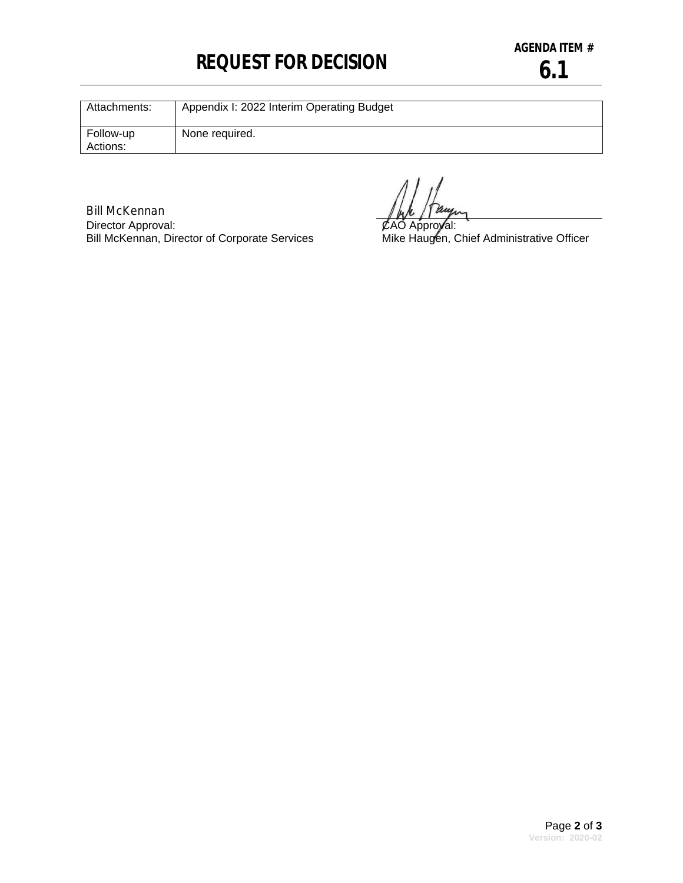## **REQUEST FOR DECISION**

| Attachments:          | Appendix I: 2022 Interim Operating Budget |
|-----------------------|-------------------------------------------|
| Follow-up<br>Actions: | None required.                            |

Bill McKennan Director Approval: Bill McKennan, Director of Corporate Services

CAO Approval:

Mike Haugen, Chief Administrative Officer